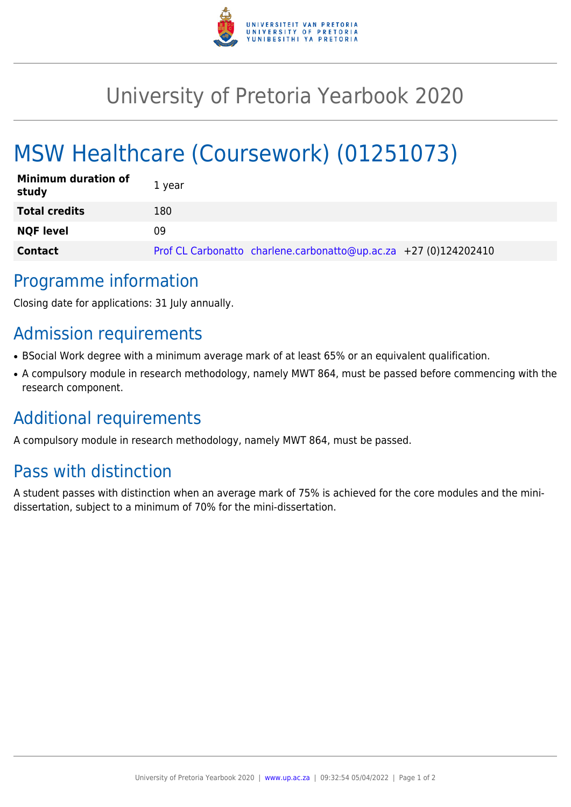

## University of Pretoria Yearbook 2020

# MSW Healthcare (Coursework) (01251073)

| <b>Minimum duration of</b><br>study | 1 year                                                           |
|-------------------------------------|------------------------------------------------------------------|
| <b>Total credits</b>                | 180                                                              |
| <b>NQF level</b>                    | 09                                                               |
| <b>Contact</b>                      | Prof CL Carbonatto charlene.carbonatto@up.ac.za +27 (0)124202410 |

#### Programme information

Closing date for applications: 31 July annually.

### Admission requirements

- BSocial Work degree with a minimum average mark of at least 65% or an equivalent qualification.
- A compulsory module in research methodology, namely MWT 864, must be passed before commencing with the research component.

### Additional requirements

A compulsory module in research methodology, namely MWT 864, must be passed.

### Pass with distinction

A student passes with distinction when an average mark of 75% is achieved for the core modules and the minidissertation, subject to a minimum of 70% for the mini-dissertation.